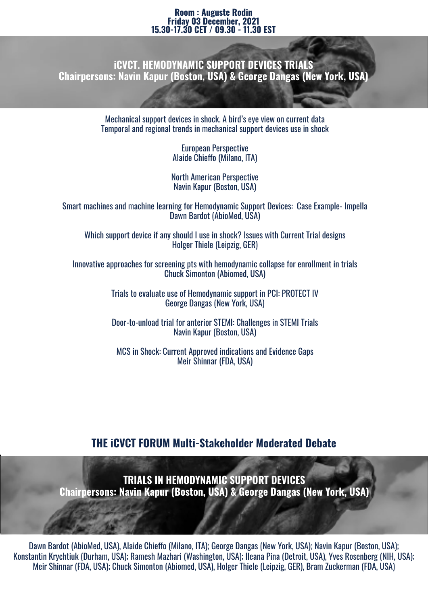#### **Room : Auguste Rodin Friday 03 December, 2021 15.30-17.30 CET / 09.30 - 11.30 EST**

**iCVCT. HEMODYNAMIC SUPPORT DEVICES TRIALS Chairpersons: Navin Kapur (Boston, USA) & George Dangas (New York, USA)**

> Mechanical support devices in shock. A bird's eye view on current data Temporal and regional trends in mechanical support devices use in shock

> > European Perspective Alaide Chieffo (Milano, ITA)

North American Perspective Navin Kapur (Boston, USA)

Smart machines and machine learning for Hemodynamic Support Devices: Case Example- Impella Dawn Bardot (AbioMed, USA)

Which support device if any should I use in shock? Issues with Current Trial designs Holger Thiele (Leipzig, GER)

Innovative approaches for screening pts with hemodynamic collapse for enrollment in trials Chuck Simonton (Abiomed, USA)

> Trials to evaluate use of Hemodynamic support in PCI: PROTECT IV George Dangas (New York, USA)

> Door-to-unload trial for anterior STEMI: Challenges in STEMI Trials Navin Kapur (Boston, USA)

MCS in Shock: Current Approved indications and Evidence Gaps Meir Shinnar (FDA, USA)

### **THE iCVCT FORUM Multi-Stakeholder Moderated Debate**

**TRIALS IN HEMODYNAMIC SUPPORT DEVICES Chairpersons: Navin Kapur (Boston, USA) & George Dangas (New York, USA)**

Dawn Bardot (AbioMed, USA), Alaide Chieffo (Milano, ITA); George Dangas (New York, USA); Navin Kapur (Boston, USA); Konstantin Krychtiuk (Durham, USA); Ramesh Mazhari (Washington, USA); Ileana Pina (Detroit, USA), Yves Rosenberg (NIH, USA); Meir Shinnar (FDA, USA); Chuck Simonton (Abiomed, USA), Holger Thiele (Leipzig, GER), Bram Zuckerman (FDA, USA)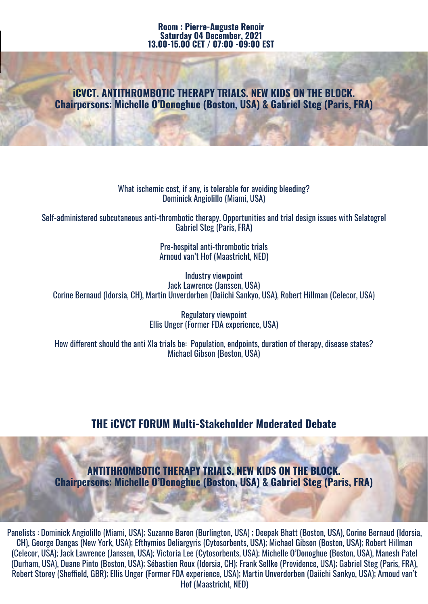#### **Room : Pierre-Auguste Renoir Saturday 04 December, 2021 13.00-15.00 CET / 07:00 -09:00 EST**

### **iCVCT. ANTITHROMBOTIC THERAPY TRIALS. NEW KIDS ON THE BLOCK. Chairpersons: Michelle O'Donoghue (Boston, USA) & Gabriel Steg (Paris, FRA)**

What ischemic cost, if any, is tolerable for avoiding bleeding? Dominick Angiolillo (Miami, USA)

Self-administered subcutaneous anti-thrombotic therapy. Opportunities and trial design issues with Selatogrel Gabriel Steg (Paris, FRA)

> Pre-hospital anti-thrombotic trials Arnoud van't Hof (Maastricht, NED)

Industry viewpoint Jack Lawrence (Janssen, USA) Corine Bernaud (Idorsia, CH), Martin Unverdorben (Daiichi Sankyo, USA), Robert Hillman (Celecor, USA)

> Regulatory viewpoint Ellis Unger (Former FDA experience, USA)

How different should the anti XIa trials be: Population, endpoints, duration of therapy, disease states? Michael Gibson (Boston, USA)

# **THE iCVCT FORUM Multi-Stakeholder Moderated Debate**

**ANTITHROMBOTIC THERAPY TRIALS. NEW KIDS ON THE BLOCK. Chairpersons: Michelle O'Donoghue (Boston, USA) & Gabriel Steg (Paris, FRA)** 

Panelists : Dominick Angiolillo (Miami, USA); Suzanne Baron (Burlington, USA) ; Deepak Bhatt (Boston, USA), Corine Bernaud (Idorsia, CH), George Dangas (New York, USA); Efthymios Deliargyris (Cytosorbents, USA); Michael Gibson (Boston, USA); Robert Hillman (Celecor, USA); Jack Lawrence (Janssen, USA); Victoria Lee (Cytosorbents, USA); Michelle O'Donoghue (Boston, USA), Manesh Patel (Durham, USA), Duane Pinto (Boston, USA); Sébastien Roux (Idorsia, CH); Frank Sellke (Providence, USA); Gabriel Steg (Paris, FRA), Robert Storey (Sheffield, GBR); Ellis Unger (Former FDA experience, USA); Martin Unverdorben (Daiichi Sankyo, USA); Arnoud van't Hof (Maastricht, NED)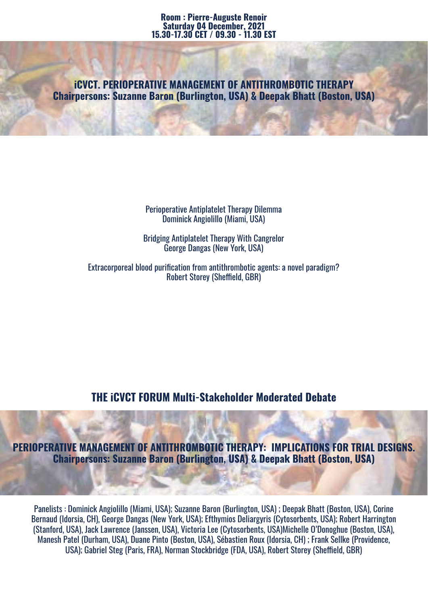**iCVCT. PERIOPERATIVE MANAGEMENT OF ANTITHROMBOTIC THERAPY Chairpersons: Suzanne Baron (Burlington, USA) & Deepak Bhatt (Boston, USA)**

> Perioperative Antiplatelet Therapy Dilemma Dominick Angiolillo (Miami, USA)

Bridging Antiplatelet Therapy With Cangrelor George Dangas (New York, USA)

Extracorporeal blood purification from antithrombotic agents: a novel paradigm? Robert Storey (Sheffield, GBR)

**THE iCVCT FORUM Multi-Stakeholder Moderated Debate**

**PERIOPERATIVE MANAGEMENT OF ANTITHROMBOTIC THERAPY: IMPLICATIONS FOR TRIAL DESIGNS. Chairpersons: Suzanne Baron (Burlington, USA) & Deepak Bhatt (Boston, USA)**

Panelists : Dominick Angiolillo (Miami, USA); Suzanne Baron (Burlington, USA) ; Deepak Bhatt (Boston, USA), Corine Bernaud (Idorsia, CH), George Dangas (New York, USA); Efthymios Deliargyris (Cytosorbents, USA); Robert Harrington (Stanford, USA), Jack Lawrence (Janssen, USA), Victoria Lee (Cytosorbents, USA)Michelle O'Donoghue (Boston, USA), Manesh Patel (Durham, USA), Duane Pinto (Boston, USA), Sébastien Roux (Idorsia, CH) ; Frank Sellke (Providence, USA); Gabriel Steg (Paris, FRA), Norman Stockbridge (FDA, USA), Robert Storey (Sheffield, GBR)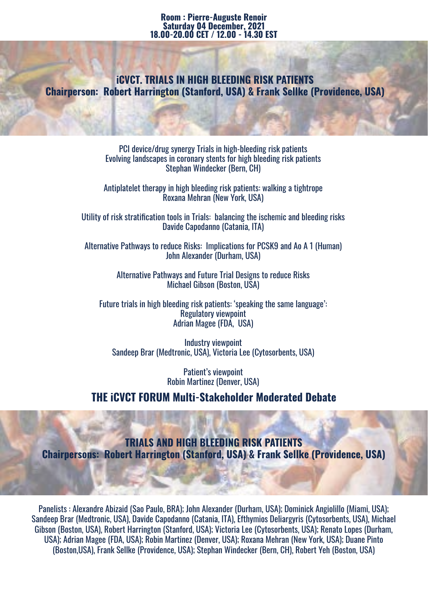#### **Room : Pierre-Auguste Renoir Saturday 04 December, 2021 18.00-20.00 CET / 12.00 - 14.30 EST**

**iCVCT. TRIALS IN HIGH BLEEDING RISK PATIENTS Chairperson: Robert Harrington (Stanford, USA) & Frank Sellke (Providence, USA)**

> PCI device/drug synergy Trials in high-bleeding risk patients Evolving landscapes in coronary stents for high bleeding risk patients Stephan Windecker (Bern, CH)

> Antiplatelet therapy in high bleeding risk patients: walking a tightrope Roxana Mehran (New York, USA)

Utility of risk stratification tools in Trials: balancing the ischemic and bleeding risks Davide Capodanno (Catania, ITA)

Alternative Pathways to reduce Risks: Implications for PCSK9 and Ao A 1 (Human) John Alexander (Durham, USA)

> Alternative Pathways and Future Trial Designs to reduce Risks Michael Gibson (Boston, USA)

Future trials in high bleeding risk patients: 'speaking the same language': Regulatory viewpoint Adrian Magee (FDA, USA)

Industry viewpoint Sandeep Brar (Medtronic, USA), Victoria Lee (Cytosorbents, USA)

> Patient's viewpoint Robin Martinez (Denver, USA)

**THE iCVCT FORUM Multi-Stakeholder Moderated Debate**

**TRIALS AND HIGH BLEEDING RISK PATIENTS Chairpersons: Robert Harrington (Stanford, USA) & Frank Sellke (Providence, USA)**

Panelists : Alexandre Abizaid (Sao Paulo, BRA); John Alexander (Durham, USA); Dominick Angiolillo (Miami, USA); Sandeep Brar (Medtronic, USA), Davide Capodanno (Catania, ITA), Efthymios Deliargyris (Cytosorbents, USA), Michael Gibson (Boston, USA), Robert Harrington (Stanford, USA); Victoria Lee (Cytosorbents, USA); Renato Lopes (Durham, USA); Adrian Magee (FDA, USA); Robin Martinez (Denver, USA); Roxana Mehran (New York, USA); Duane Pinto (Boston,USA), Frank Sellke (Providence, USA); Stephan Windecker (Bern, CH), Robert Yeh (Boston, USA)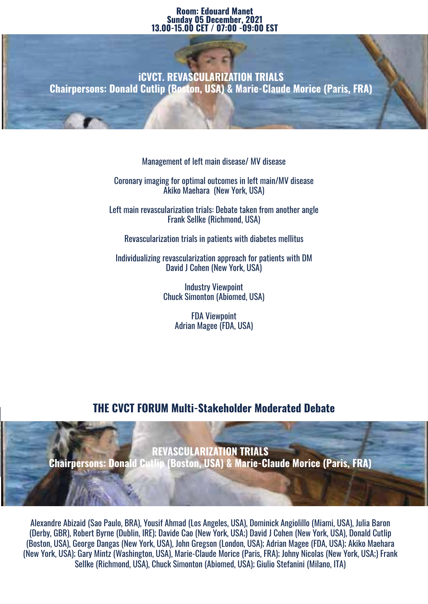#### **Room: Edouard Manet Sunday 05 December, 2021 13.00-15.00 CET / 07:00 -09:00 EST**

**iCVCT. REVASCULARIZATION TRIALS Chairpersons: Donald Cutlip (Boston, USA) & Marie-Claude Morice (Paris, FRA)**

Management of left main disease/ MV disease

Coronary imaging for optimal outcomes in left main/MV disease Akiko Maehara (New York, USA)

Left main revascularization trials: Debate taken from another angle Frank Sellke (Richmond, USA)

Revascularization trials in patients with diabetes mellitus

Individualizing revascularization approach for patients with DM David J Cohen (New York, USA)

> Industry Viewpoint Chuck Simonton (Abiomed, USA)

> > FDA Viewpoint Adrian Magee (FDA, USA)

# **THE CVCT FORUM Multi-Stakeholder Moderated Debate**



Alexandre Abizaid (Sao Paulo, BRA), Yousif Ahmad (Los Angeles, USA), Dominick Angiolillo (Miami, USA), Julia Baron (Derby, GBR), Robert Byrne (Dublin, IRE); Davide Cao (New York, USA;) David J Cohen (New York, USA), Donald Cutlip (Boston, USA), George Dangas (New York, USA), John Gregson (London, USA); Adrian Magee (FDA, USA); Akiko Maehara (New York, USA); Gary Mintz (Washington, USA), Marie-Claude Morice (Paris, FRA); Johny Nicolas (New York, USA;) Frank Sellke (Richmond, USA), Chuck Simonton (Abiomed, USA); Giulio Stefanini (Milano, ITA)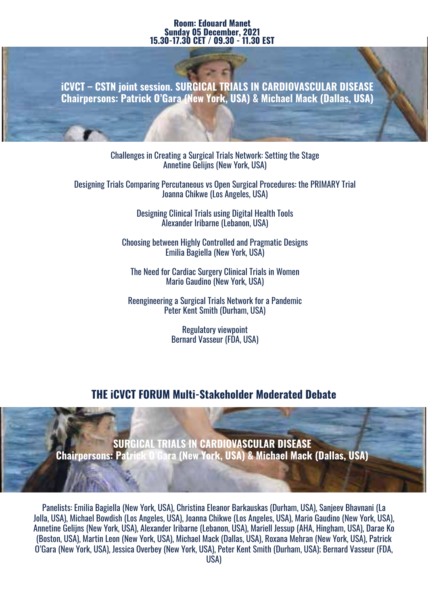#### **Room: Edouard Manet Sunday 05 December, 2021 15.30-17.30 CET / 09.30 - 11.30 EST**

**iCVCT – CSTN joint session. SURGICAL TRIALS IN CARDIOVASCULAR DISEASE Chairpersons: Patrick O'Gara (New York, USA) & Michael Mack (Dallas, USA)**

> Challenges in Creating a Surgical Trials Network: Setting the Stage Annetine Gelijns (New York, USA)

Designing Trials Comparing Percutaneous vs Open Surgical Procedures: the PRIMARY Trial Joanna Chikwe (Los Angeles, USA)

> Designing Clinical Trials using Digital Health Tools Alexander Iribarne (Lebanon, USA)

Choosing between Highly Controlled and Pragmatic Designs Emilia Bagiella (New York, USA)

The Need for Cardiac Surgery Clinical Trials in Women Mario Gaudino (New York, USA)

Reengineering a Surgical Trials Network for a Pandemic Peter Kent Smith (Durham, USA)

> Regulatory viewpoint Bernard Vasseur (FDA, USA)

# **THE iCVCT FORUM Multi-Stakeholder Moderated Debate**

**SURGICAL TRIALS IN CARDIOVASCULAR DISEASE Chairpersons: Patrick O'Gara (New York, USA) & Michael Mack (Dallas, USA)**

Panelists: Emilia Bagiella (New York, USA), Christina Eleanor Barkauskas (Durham, USA), Sanjeev Bhavnani (La Jolla, USA), Michael Bowdish (Los Angeles, USA), Joanna Chikwe (Los Angeles, USA), Mario Gaudino (New York, USA), Annetine Gelijns (New York, USA), Alexander Iribarne (Lebanon, USA), Mariell Jessup (AHA, Hingham, USA), Darae Ko (Boston, USA), Martin Leon (New York, USA), Michael Mack (Dallas, USA), Roxana Mehran (New York, USA), Patrick O'Gara (New York, USA), Jessica Overbey (New York, USA), Peter Kent Smith (Durham, USA); Bernard Vasseur (FDA,